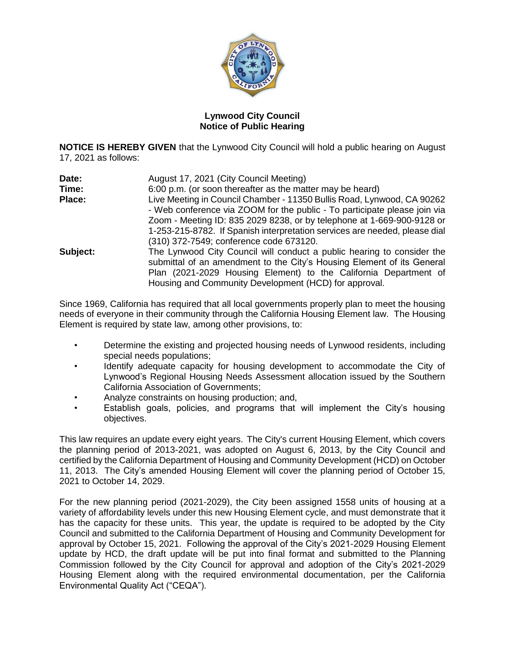

## **Lynwood City Council Notice of Public Hearing**

**NOTICE IS HEREBY GIVEN** that the Lynwood City Council will hold a public hearing on August 17, 2021 as follows:

| Date:    | August 17, 2021 (City Council Meeting)                                                                                                                                                                                                                                        |
|----------|-------------------------------------------------------------------------------------------------------------------------------------------------------------------------------------------------------------------------------------------------------------------------------|
| Time:    | 6:00 p.m. (or soon thereafter as the matter may be heard)                                                                                                                                                                                                                     |
| Place:   | Live Meeting in Council Chamber - 11350 Bullis Road, Lynwood, CA 90262<br>- Web conference via ZOOM for the public - To participate please join via                                                                                                                           |
|          | Zoom - Meeting ID: 835 2029 8238, or by telephone at 1-669-900-9128 or<br>1-253-215-8782. If Spanish interpretation services are needed, please dial<br>(310) 372-7549; conference code 673120.                                                                               |
| Subject: | The Lynwood City Council will conduct a public hearing to consider the<br>submittal of an amendment to the City's Housing Element of its General<br>Plan (2021-2029 Housing Element) to the California Department of<br>Housing and Community Development (HCD) for approval. |

Since 1969, California has required that all local governments properly plan to meet the housing needs of everyone in their community through the California Housing Element law. The Housing Element is required by state law, among other provisions, to:

- Determine the existing and projected housing needs of Lynwood residents, including special needs populations;
- Identify adequate capacity for housing development to accommodate the City of Lynwood's Regional Housing Needs Assessment allocation issued by the Southern California Association of Governments;
- Analyze constraints on housing production; and,
- Establish goals, policies, and programs that will implement the City's housing objectives.

This law requires an update every eight years. The City's current Housing Element, which covers the planning period of 2013-2021, was adopted on August 6, 2013, by the City Council and certified by the California Department of Housing and Community Development (HCD) on October 11, 2013. The City's amended Housing Element will cover the planning period of October 15, 2021 to October 14, 2029.

For the new planning period (2021-2029), the City been assigned 1558 units of housing at a variety of affordability levels under this new Housing Element cycle, and must demonstrate that it has the capacity for these units. This year, the update is required to be adopted by the City Council and submitted to the California Department of Housing and Community Development for approval by October 15, 2021. Following the approval of the City's 2021-2029 Housing Element update by HCD, the draft update will be put into final format and submitted to the Planning Commission followed by the City Council for approval and adoption of the City's 2021-2029 Housing Element along with the required environmental documentation, per the California Environmental Quality Act ("CEQA").